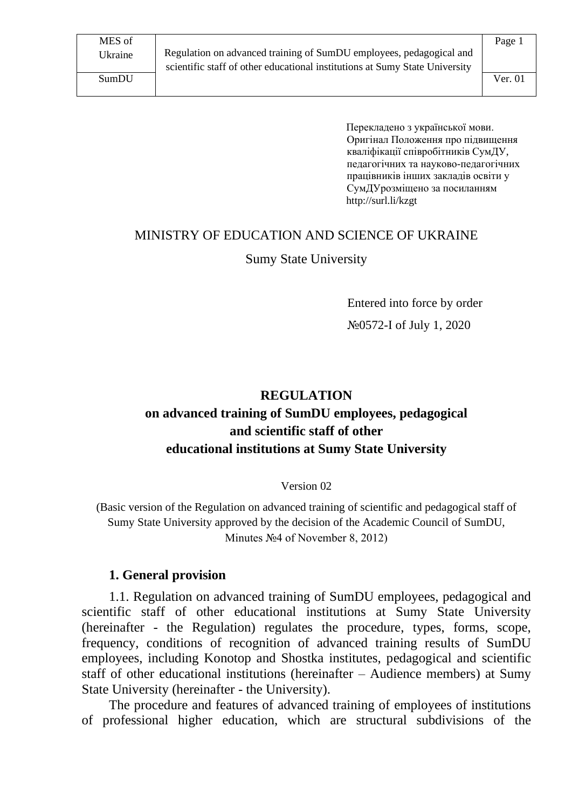Ukraine Regulation on advanced training of SumDU employees, pedagogical and scientific staff of other educational institutions at Sumy State University

Перекладено з української мови. Оригінал Положення про підвищення кваліфікації співробітників СумДУ, педагогічних та науково-педагогічних працівників інших закладів освіти у СумДУрозміщено за посиланням http://surl.li/kzgt

# MINISTRY OF EDUCATION AND SCIENCE OF UKRAINE

#### Sumy State University

Entered into force by order №0572-І of July 1, 2020

## **REGULATION on advanced training of SumDU employees, pedagogical and scientific staff of other educational institutions at Sumy State University**

Version 02

(Basic version of the Regulation on advanced training of scientific and pedagogical staff of Sumy State University approved by the decision of the Academic Council of SumDU, Minutes №4 of November 8, 2012)

#### **1. General provision**

1.1. Regulation on advanced training of SumDU employees, pedagogical and scientific staff of other educational institutions at Sumy State University (hereinafter - the Regulation) regulates the procedure, types, forms, scope, frequency, conditions of recognition of advanced training results of SumDU employees, including Konotop and Shostka institutes, pedagogical and scientific staff of other educational institutions (hereinafter – Audience members) at Sumy State University (hereinafter - the University).

The procedure and features of advanced training of employees of institutions of professional higher education, which are structural subdivisions of the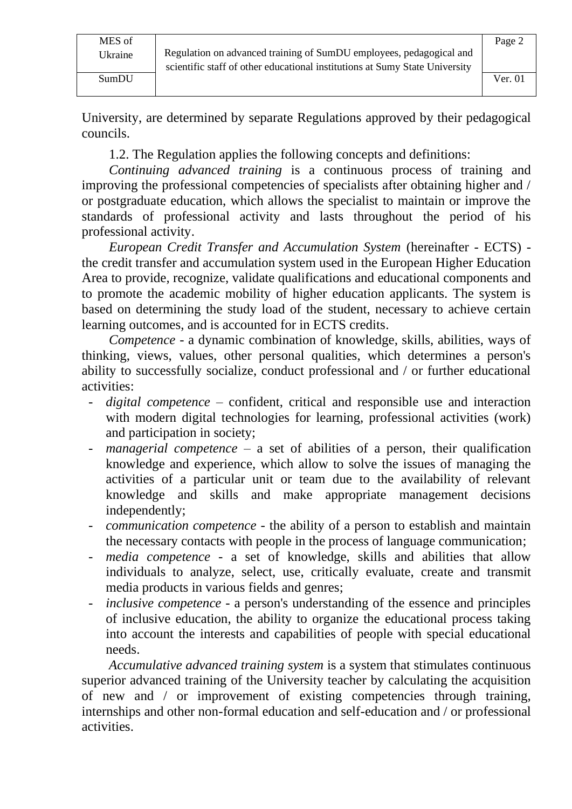University, are determined by separate Regulations approved by their pedagogical councils.

1.2. The Regulation applies the following concepts and definitions:

*Continuing advanced training* is a continuous process of training and improving the professional competencies of specialists after obtaining higher and / or postgraduate education, which allows the specialist to maintain or improve the standards of professional activity and lasts throughout the period of his professional activity.

*European Credit Transfer and Accumulation System* (hereinafter - ECTS) the credit transfer and accumulation system used in the European Higher Education Area to provide, recognize, validate qualifications and educational components and to promote the academic mobility of higher education applicants. The system is based on determining the study load of the student, necessary to achieve certain learning outcomes, and is accounted for in ECTS credits.

*Competence* - a dynamic combination of knowledge, skills, abilities, ways of thinking, views, values, other personal qualities, which determines a person's ability to successfully socialize, conduct professional and / or further educational activities:

- *digital competence* confident, critical and responsible use and interaction with modern digital technologies for learning, professional activities (work) and participation in society;
- *managerial competence*  a set of abilities of a person, their qualification knowledge and experience, which allow to solve the issues of managing the activities of a particular unit or team due to the availability of relevant knowledge and skills and make appropriate management decisions independently;
- *communication competence -* the ability of a person to establish and maintain the necessary contacts with people in the process of language communication;
- *media competence -* a set of knowledge, skills and abilities that allow individuals to analyze, select, use, critically evaluate, create and transmit media products in various fields and genres;
- *inclusive competence -* a person's understanding of the essence and principles of inclusive education, the ability to organize the educational process taking into account the interests and capabilities of people with special educational needs.

*Accumulative advanced training system* is a system that stimulates continuous superior advanced training of the University teacher by calculating the acquisition of new and / or improvement of existing competencies through training, internships and other non-formal education and self-education and / or professional activities.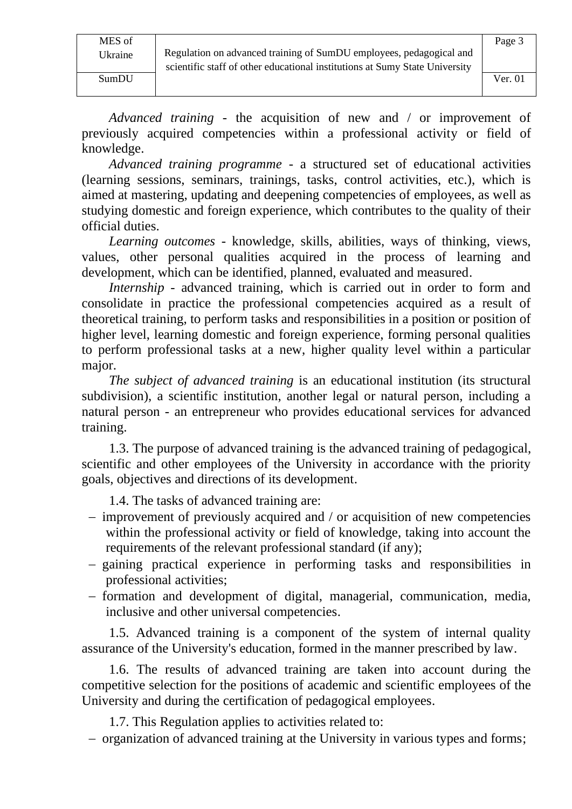MES of

Ukraine Regulation on advanced training of SumDU employees, pedagogical and scientific staff of other educational institutions at Sumy State University

*Advanced training -* the acquisition of new and / or improvement of previously acquired competencies within a professional activity or field of knowledge.

*Advanced training programme* - a structured set of educational activities (learning sessions, seminars, trainings, tasks, control activities, etc.), which is aimed at mastering, updating and deepening competencies of employees, as well as studying domestic and foreign experience, which contributes to the quality of their official duties.

*Learning outcomes* - knowledge, skills, abilities, ways of thinking, views, values, other personal qualities acquired in the process of learning and development, which can be identified, planned, evaluated and measured.

*Internship* - advanced training, which is carried out in order to form and consolidate in practice the professional competencies acquired as a result of theoretical training, to perform tasks and responsibilities in a position or position of higher level, learning domestic and foreign experience, forming personal qualities to perform professional tasks at a new, higher quality level within a particular major.

*The subject of advanced training* is an educational institution (its structural subdivision), a scientific institution, another legal or natural person, including a natural person - an entrepreneur who provides educational services for advanced training.

1.3. The purpose of advanced training is the advanced training of pedagogical, scientific and other employees of the University in accordance with the priority goals, objectives and directions of its development.

1.4. The tasks of advanced training are:

- − improvement of previously acquired and / or acquisition of new competencies within the professional activity or field of knowledge, taking into account the requirements of the relevant professional standard (if any);
- − gaining practical experience in performing tasks and responsibilities in professional activities;
- − formation and development of digital, managerial, communication, media, inclusive and other universal competencies.

1.5. Advanced training is a component of the system of internal quality assurance of the University's education, formed in the manner prescribed by law.

1.6. The results of advanced training are taken into account during the competitive selection for the positions of academic and scientific employees of the University and during the certification of pedagogical employees.

1.7. This Regulation applies to activities related to:

− organization of advanced training at the University in various types and forms;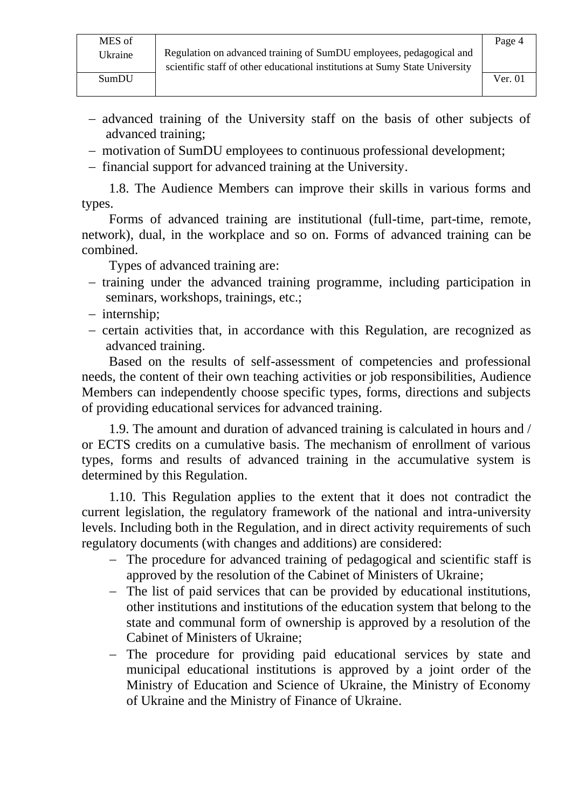Page 4

- − advanced training of the University staff on the basis of other subjects of advanced training;
- − motivation of SumDU employees to continuous professional development;
- − financial support for advanced training at the University.

1.8. The Audience Members can improve their skills in various forms and types.

Forms of advanced training are institutional (full-time, part-time, remote, network), dual, in the workplace and so on. Forms of advanced training can be combined.

Types of advanced training are:

- − training under the advanced training programme, including participation in seminars, workshops, trainings, etc.;
- − internship;
- − certain activities that, in accordance with this Regulation, are recognized as advanced training.

Based on the results of self-assessment of competencies and professional needs, the content of their own teaching activities or job responsibilities, Audience Members can independently choose specific types, forms, directions and subjects of providing educational services for advanced training.

1.9. The amount and duration of advanced training is calculated in hours and / or ECTS credits on a cumulative basis. The mechanism of enrollment of various types, forms and results of advanced training in the accumulative system is determined by this Regulation.

1.10. This Regulation applies to the extent that it does not contradict the current legislation, the regulatory framework of the national and intra-university levels. Including both in the Regulation, and in direct activity requirements of such regulatory documents (with changes and additions) are considered:

- − The procedure for advanced training of pedagogical and scientific staff is approved by the resolution of the Cabinet of Ministers of Ukraine;
- − The list of paid services that can be provided by educational institutions, other institutions and institutions of the education system that belong to the state and communal form of ownership is approved by a resolution of the Cabinet of Ministers of Ukraine;
- − The procedure for providing paid educational services by state and municipal educational institutions is approved by a joint order of the Ministry of Education and Science of Ukraine, the Ministry of Economy of Ukraine and the Ministry of Finance of Ukraine.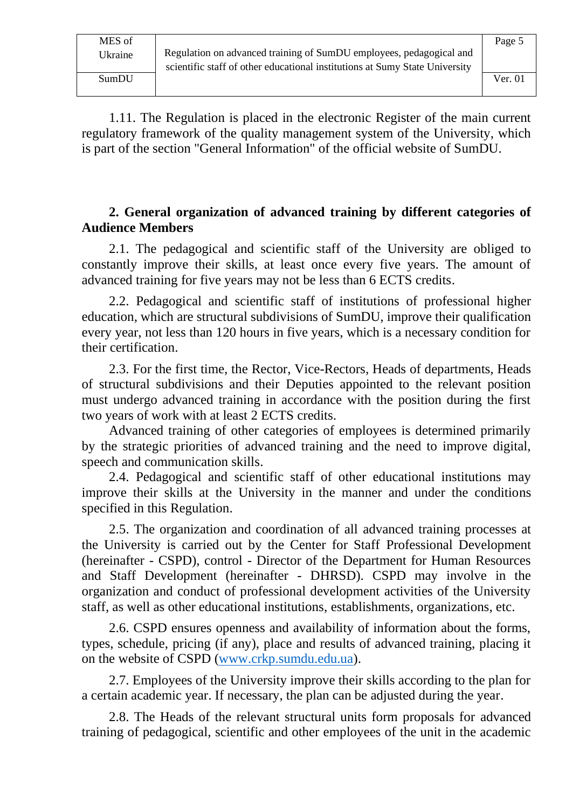1.11. The Regulation is placed in the electronic Register of the main current regulatory framework of the quality management system of the University, which is part of the section "General Information" of the official website of SumDU.

#### **2. General organization of advanced training by different categories of Audience Members**

2.1. The pedagogical and scientific staff of the University are obliged to constantly improve their skills, at least once every five years. The amount of advanced training for five years may not be less than 6 ECTS credits.

2.2. Pedagogical and scientific staff of institutions of professional higher education, which are structural subdivisions of SumDU, improve their qualification every year, not less than 120 hours in five years, which is a necessary condition for their certification.

2.3. For the first time, the Rector, Vice-Rectors, Heads of departments, Heads of structural subdivisions and their Deputies appointed to the relevant position must undergo advanced training in accordance with the position during the first two years of work with at least 2 ECTS credits.

Advanced training of other categories of employees is determined primarily by the strategic priorities of advanced training and the need to improve digital, speech and communication skills.

2.4. Pedagogical and scientific staff of other educational institutions may improve their skills at the University in the manner and under the conditions specified in this Regulation.

2.5. The organization and coordination of all advanced training processes at the University is carried out by the Center for Staff Professional Development (hereinafter - CSPD), control - Director of the Department for Human Resources and Staff Development (hereinafter - DHRSD). CSPD may involve in the organization and conduct of professional development activities of the University staff, as well as other educational institutions, establishments, organizations, etc.

2.6. CSPD ensures openness and availability of information about the forms, types, schedule, pricing (if any), place and results of advanced training, placing it on the website of CSPD [\(www.crkp.sumdu.edu.ua\)](http://www.crkp.sumdu.edu.ua/).

2.7. Employees of the University improve their skills according to the plan for a certain academic year. If necessary, the plan can be adjusted during the year.

2.8. The Heads of the relevant structural units form proposals for advanced training of pedagogical, scientific and other employees of the unit in the academic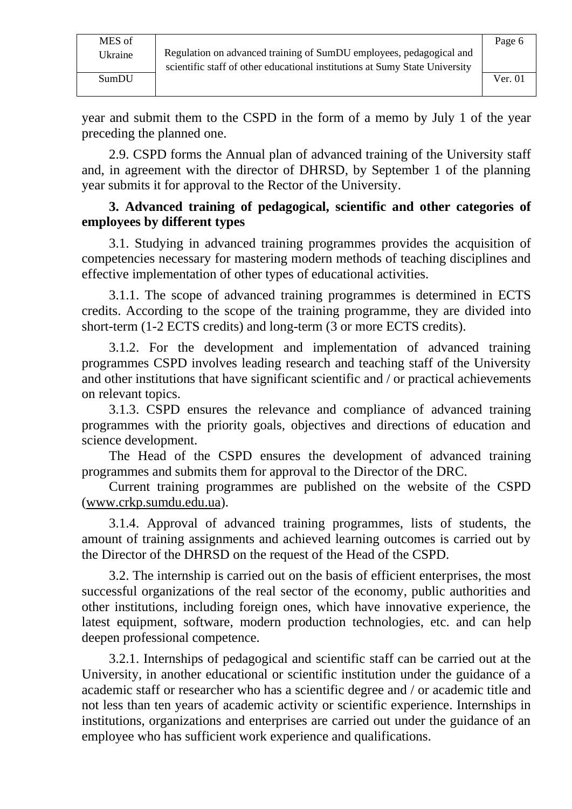year and submit them to the CSPD in the form of a memo by July 1 of the year preceding the planned one.

2.9. CSPD forms the Annual plan of advanced training of the University staff and, in agreement with the director of DHRSD, by September 1 of the planning year submits it for approval to the Rector of the University.

#### **3. Advanced training of pedagogical, scientific and other categories of employees by different types**

3.1. Studying in advanced training programmes provides the acquisition of competencies necessary for mastering modern methods of teaching disciplines and effective implementation of other types of educational activities.

3.1.1. The scope of advanced training programmes is determined in ECTS credits. According to the scope of the training programme, they are divided into short-term (1-2 ECTS credits) and long-term (3 or more ECTS credits).

3.1.2. For the development and implementation of advanced training programmes CSPD involves leading research and teaching staff of the University and other institutions that have significant scientific and / or practical achievements on relevant topics.

3.1.3. CSPD ensures the relevance and compliance of advanced training programmes with the priority goals, objectives and directions of education and science development.

The Head of the CSPD ensures the development of advanced training programmes and submits them for approval to the Director of the DRC.

Current training programmes are published on the website of the CSPD [\(www.crkp.sumdu.edu.ua\)](http://www.crkp.sumdu.edu.ua/).

3.1.4. Approval of advanced training programmes, lists of students, the amount of training assignments and achieved learning outcomes is carried out by the Director of the DHRSD on the request of the Head of the CSPD.

3.2. The internship is carried out on the basis of efficient enterprises, the most successful organizations of the real sector of the economy, public authorities and other institutions, including foreign ones, which have innovative experience, the latest equipment, software, modern production technologies, etc. and can help deepen professional competence.

3.2.1. Internships of pedagogical and scientific staff can be carried out at the University, in another educational or scientific institution under the guidance of a academic staff or researcher who has a scientific degree and / or academic title and not less than ten years of academic activity or scientific experience. Internships in institutions, organizations and enterprises are carried out under the guidance of an employee who has sufficient work experience and qualifications.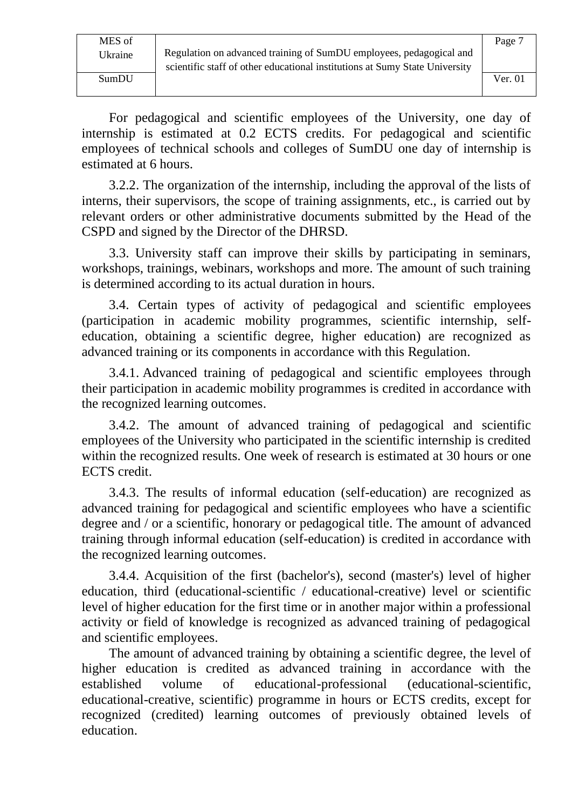MES of

Ukraine Regulation on advanced training of SumDU employees, pedagogical and scientific staff of other educational institutions at Sumy State University

For pedagogical and scientific employees of the University, one day of internship is estimated at 0.2 ECTS credits. For pedagogical and scientific employees of technical schools and colleges of SumDU one day of internship is estimated at 6 hours.

3.2.2. The organization of the internship, including the approval of the lists of interns, their supervisors, the scope of training assignments, etc., is carried out by relevant orders or other administrative documents submitted by the Head of the CSPD and signed by the Director of the DHRSD.

3.3. University staff can improve their skills by participating in seminars, workshops, trainings, webinars, workshops and more. The amount of such training is determined according to its actual duration in hours.

3.4. Certain types of activity of pedagogical and scientific employees (participation in academic mobility programmes, scientific internship, selfeducation, obtaining a scientific degree, higher education) are recognized as advanced training or its components in accordance with this Regulation.

3.4.1. Advanced training of pedagogical and scientific employees through their participation in academic mobility programmes is credited in accordance with the recognized learning outcomes.

3.4.2. The amount of advanced training of pedagogical and scientific employees of the University who participated in the scientific internship is credited within the recognized results. One week of research is estimated at 30 hours or one ECTS credit.

3.4.3. The results of informal education (self-education) are recognized as advanced training for pedagogical and scientific employees who have a scientific degree and / or a scientific, honorary or pedagogical title. The amount of advanced training through informal education (self-education) is credited in accordance with the recognized learning outcomes.

3.4.4. Acquisition of the first (bachelor's), second (master's) level of higher education, third (educational-scientific / educational-creative) level or scientific level of higher education for the first time or in another major within a professional activity or field of knowledge is recognized as advanced training of pedagogical and scientific employees.

The amount of advanced training by obtaining a scientific degree, the level of higher education is credited as advanced training in accordance with the established volume of educational-professional (educational-scientific, educational-creative, scientific) programme in hours or ECTS credits, except for recognized (credited) learning outcomes of previously obtained levels of education.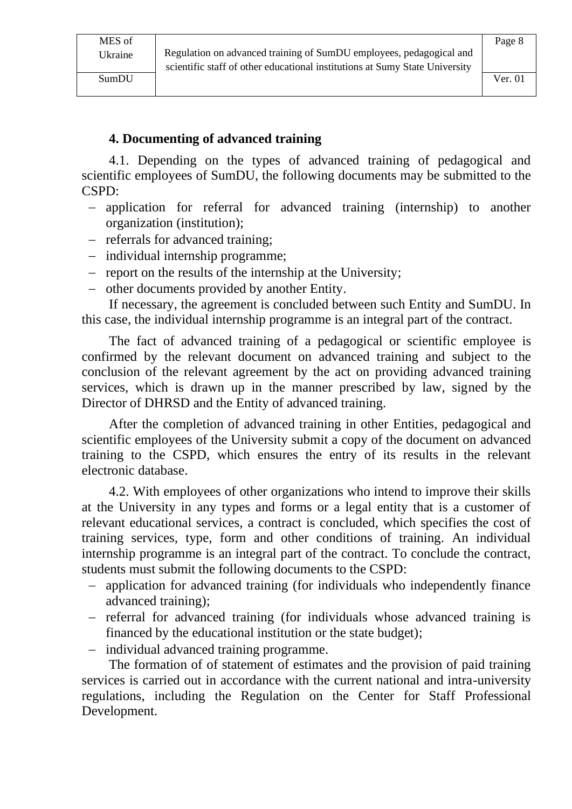Page 8

#### **4. Documenting of advanced training**

4.1. Depending on the types of advanced training of pedagogical and scientific employees of SumDU, the following documents may be submitted to the CSPD:

- − application for referral for advanced training (internship) to another organization (institution);
- − referrals for advanced training;
- − individual internship programme;
- − report on the results of the internship at the University;
- − other documents provided by another Entity.

If necessary, the agreement is concluded between such Entity and SumDU. In this case, the individual internship programme is an integral part of the contract.

The fact of advanced training of a pedagogical or scientific employee is confirmed by the relevant document on advanced training and subject to the conclusion of the relevant agreement by the act on providing advanced training services, which is drawn up in the manner prescribed by law, signed by the Director of DHRSD and the Entity of advanced training.

After the completion of advanced training in other Entities, pedagogical and scientific employees of the University submit a copy of the document on advanced training to the CSPD, which ensures the entry of its results in the relevant electronic database.

4.2. With employees of other organizations who intend to improve their skills at the University in any types and forms or a legal entity that is a customer of relevant educational services, a contract is concluded, which specifies the cost of training services, type, form and other conditions of training. An individual internship programme is an integral part of the contract. To conclude the contract, students must submit the following documents to the CSPD:

- − application for advanced training (for individuals who independently finance advanced training);
- − referral for advanced training (for individuals whose advanced training is financed by the educational institution or the state budget);
- − individual advanced training programme.

The formation of of statement of estimates and the provision of paid training services is carried out in accordance with the current national and intra-university regulations, including the Regulation on the Center for Staff Professional Development.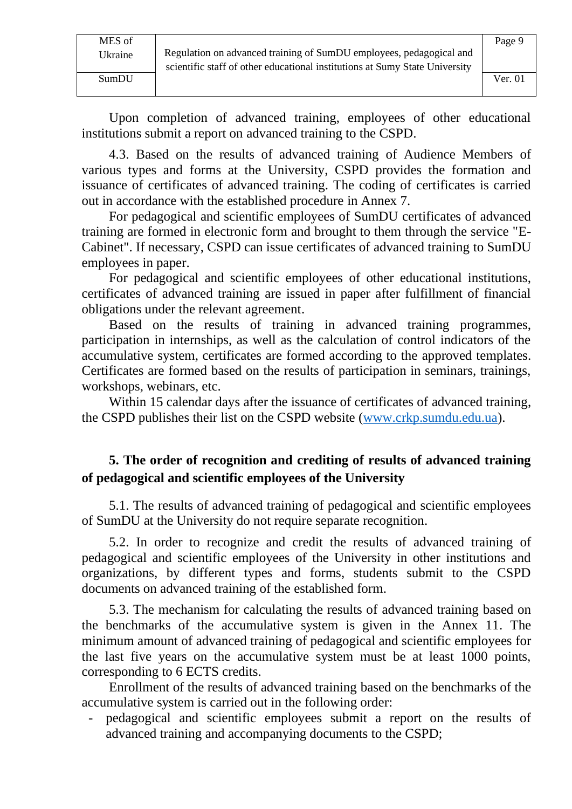Upon completion of advanced training, employees of other educational institutions submit a report on advanced training to the CSPD.

4.3. Based on the results of advanced training of Audience Members of various types and forms at the University, CSPD provides the formation and issuance of certificates of advanced training. The coding of certificates is carried out in accordance with the established procedure in Annex 7.

For pedagogical and scientific employees of SumDU certificates of advanced training are formed in electronic form and brought to them through the service "E-Cabinet". If necessary, CSPD can issue certificates of advanced training to SumDU employees in paper.

For pedagogical and scientific employees of other educational institutions, certificates of advanced training are issued in paper after fulfillment of financial obligations under the relevant agreement.

Based on the results of training in advanced training programmes, participation in internships, as well as the calculation of control indicators of the accumulative system, certificates are formed according to the approved templates. Certificates are formed based on the results of participation in seminars, trainings, workshops, webinars, etc.

Within 15 calendar days after the issuance of certificates of advanced training, the CSPD publishes their list on the CSPD website [\(www.crkp.sumdu.edu.ua\)](http://www.crkp.sumdu.edu.ua/).

### **5. The order of recognition and crediting of results of advanced training of pedagogical and scientific employees of the University**

5.1. The results of advanced training of pedagogical and scientific employees of SumDU at the University do not require separate recognition.

5.2. In order to recognize and credit the results of advanced training of pedagogical and scientific employees of the University in other institutions and organizations, by different types and forms, students submit to the CSPD documents on advanced training of the established form.

5.3. The mechanism for calculating the results of advanced training based on the benchmarks of the accumulative system is given in the Annex 11. The minimum amount of advanced training of pedagogical and scientific employees for the last five years on the accumulative system must be at least 1000 points, corresponding to 6 ECTS credits.

Enrollment of the results of advanced training based on the benchmarks of the accumulative system is carried out in the following order:

- pedagogical and scientific employees submit a report on the results of advanced training and accompanying documents to the CSPD;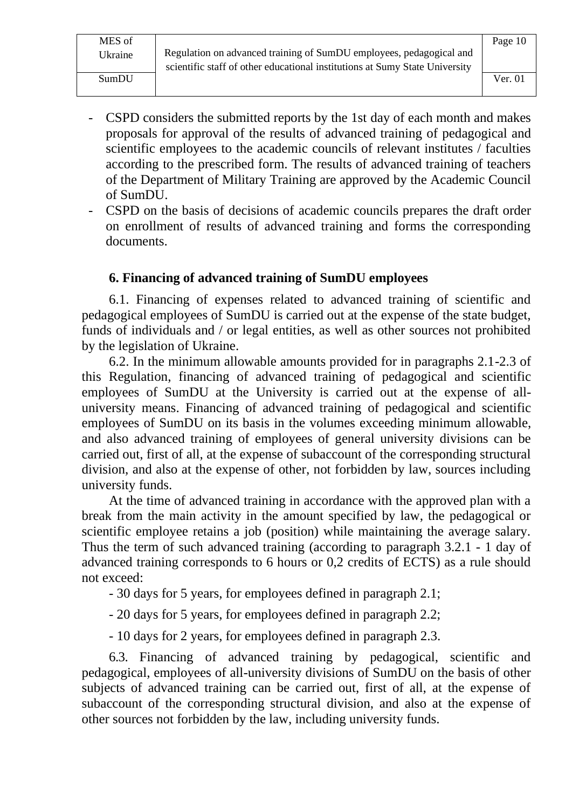- CSPD considers the submitted reports by the 1st day of each month and makes proposals for approval of the results of advanced training of pedagogical and scientific employees to the academic councils of relevant institutes / faculties according to the prescribed form. The results of advanced training of teachers of the Department of Military Training are approved by the Academic Council of SumDU.
- CSPD on the basis of decisions of academic councils prepares the draft order on enrollment of results of advanced training and forms the corresponding documents.

#### **6. Financing of advanced training of SumDU employees**

6.1. Financing of expenses related to advanced training of scientific and pedagogical employees of SumDU is carried out at the expense of the state budget, funds of individuals and / or legal entities, as well as other sources not prohibited by the legislation of Ukraine.

6.2. In the minimum allowable amounts provided for in paragraphs 2.1-2.3 of this Regulation, financing of advanced training of pedagogical and scientific employees of SumDU at the University is carried out at the expense of alluniversity means. Financing of advanced training of pedagogical and scientific employees of SumDU on its basis in the volumes exceeding minimum allowable, and also advanced training of employees of general university divisions can be carried out, first of all, at the expense of subaccount of the corresponding structural division, and also at the expense of other, not forbidden by law, sources including university funds.

At the time of advanced training in accordance with the approved plan with a break from the main activity in the amount specified by law, the pedagogical or scientific employee retains a job (position) while maintaining the average salary. Thus the term of such advanced training (according to paragraph 3.2.1 - 1 day of advanced training corresponds to 6 hours or 0,2 credits of ECTS) as a rule should not exceed:

- 30 days for 5 years, for employees defined in paragraph 2.1;

- 20 days for 5 years, for employees defined in paragraph 2.2;

- 10 days for 2 years, for employees defined in paragraph 2.3.

6.3. Financing of advanced training by pedagogical, scientific and pedagogical, employees of all-university divisions of SumDU on the basis of other subjects of advanced training can be carried out, first of all, at the expense of subaccount of the corresponding structural division, and also at the expense of other sources not forbidden by the law, including university funds.